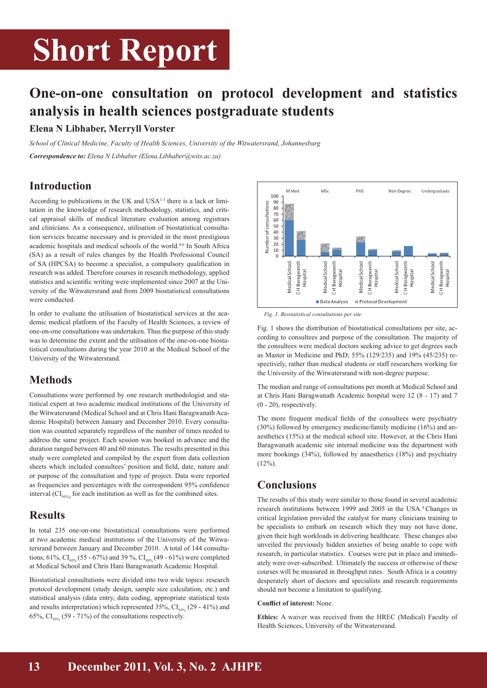## **Short Report**

## **One-on-one consultation on protocol development and statistics analysis in health sciences postgraduate students**

#### **Elena N Libhaber, Merryll Vorster**

*School of Clinical Medicine, Faculty of Health Sciences, University of the Witwatersrand, Johannesburg Correspondence to: Elena N Libhaber (Elena.Libhaber@wits.ac.za)*

### **Introduction**

According to publications in the UK and USA1-3 there is a lack or limitation in the knowledge of research methodology, statistics, and critical appraisal skills of medical literature evaluation among registrars and clinicians. As a consequence, utilisation of biostatistical consultation services became necessary and is provided in the most prestigious academic hospitals and medical schools of the world.4-6 In South Africa (SA) as a result of rules changes by the Health Professional Council of SA (HPCSA) to become a specialist, a compulsory qualification in research was added. Therefore courses in research methodology, applied statistics and scientific writing were implemented since 2007 at the University of the Witwatersrand and from 2009 biostatistical consultations were conducted.

In order to evaluate the utilisation of biostatistical services at the academic medical platform of the Faculty of Health Sciences, a review of one-on-one consultations was undertaken. Thus the purpose of this study was to determine the extent and the utilisation of the one-on-one biostatistical consultations during the year 2010 at the Medical School of the University of the Witwatersrand.

### **Methods**

Consultations were performed by one research methodologist and statistical expert at two academic medical institutions of the University of the Witwatersrand (Medical School and at Chris Hani Baragwanath Academic Hospital) between January and December 2010. Every consultation was counted separately regardless of the number of times needed to address the same project. Each session was booked in advance and the duration ranged between 40 and 60 minutes. The results presented in this study were completed and compiled by the expert from data collection sheets which included consultees' position and field, date, nature and/ or purpose of the consultation and type of project. Data were reported as frequencies and percentages with the correspondent 95% confidence interval  $\left( \text{CI}_{95\%}\right)$  for each institution as well as for the combined sites.

### **Results**

In total 235 one-on-one biostatistical consultations were performed at two academic medical institutions of the University of the Witwatersrand between January and December 2010. A total of 144 consultations, 61%,  $CI_{95\%}$  (55 - 67%) and 39%,  $CI_{95\%}$  (49 - 61%) were completed at Medical School and Chris Hani Baragwanath Academic Hospital.

Biostatistical consultations were divided into two wide topics: research protocol development (study design, sample size calculation, etc.) and statistical analysis (data entry, data coding, appropriate statistical tests and results interpretation) which represented  $35\%$ , CI<sub>95%</sub> (29 - 41%) and 65%,  $CI_{\text{0.50\%}}$  (59 - 71%) of the consultations respectively.



*Fig. 1. Biostatistical consultations per site.*

Fig. 1 shows the distribution of biostatistical consultations per site, according to consultees and purpose of the consultation. The majority of the consultees were medical doctors seeking advice to get degrees such as Master in Medicine and PhD; 55% (129/235) and 19% (45/235) respectively, rather than medical students or staff researchers working for the University of the Witwatersrand with non-degree purpose.

The median and range of consultations per month at Medical School and at Chris Hani Baragwanath Academic hospital were 12 (8 - 17) and 7 (0 - 20), respectively.

The more frequent medical fields of the consultees were psychiatry (30%) followed by emergency medicine/family medicine (16%) and anaesthetics (15%) at the medical school site. However, at the Chris Hani Baragwanath academic site internal medicine was the department with more bookings (34%), followed by anaesthetics (18%) and psychiatry  $(12\%)$ .

### **Conclusions**

The results of this study were similar to those found in several academic research institutions between 1999 and 2005 in the USA.4 Changes in critical legislation provided the catalyst for many clinicians training to be specialists to embark on research which they may not have done, given their high workloads in delivering healthcare. These changes also unveiled the previously hidden anxieties of being unable to cope with research, in particular statistics. Courses were put in place and immediately were over-subscribed. Ultimately the success or otherwise of these courses will be measured in throughput rates. South Africa is a country desperately short of doctors and specialists and research requirements should not become a limitation to qualifying.

#### **Conflict of interest:** None.

**Ethics:** A waiver was received from the HREC (Medical) Faculty of Health Sciences, University of the Witwatersrand.